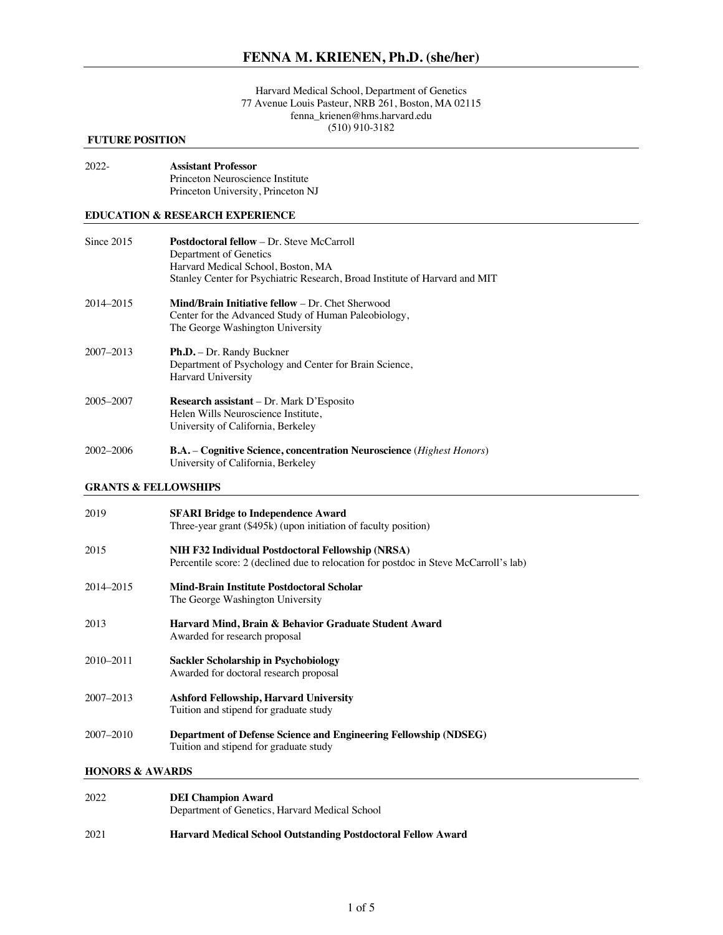#### Harvard Medical School, Department of Genetics 77 Avenue Louis Pasteur, NRB 261, Boston, MA 02115 fenna\_krienen@hms.harvard.edu (510) 910-3182

## **FUTURE POSITION**

| $2022 -$ | <b>Assistant Professor</b>         |
|----------|------------------------------------|
|          | Princeton Neuroscience Institute   |
|          | Princeton University, Princeton NJ |

## **EDUCATION & RESEARCH EXPERIENCE**

| Since $2015$  | <b>Postdoctoral fellow – Dr. Steve McCarroll</b><br>Department of Genetics<br>Harvard Medical School, Boston, MA<br>Stanley Center for Psychiatric Research, Broad Institute of Harvard and MIT |
|---------------|-------------------------------------------------------------------------------------------------------------------------------------------------------------------------------------------------|
| 2014-2015     | <b>Mind/Brain Initiative fellow – Dr. Chet Sherwood</b><br>Center for the Advanced Study of Human Paleobiology,<br>The George Washington University                                             |
| $2007 - 2013$ | <b>Ph.D.</b> – Dr. Randy Buckner<br>Department of Psychology and Center for Brain Science,<br>Harvard University                                                                                |
| 2005-2007     | Research assistant - Dr. Mark D'Esposito<br>Helen Wills Neuroscience Institute,<br>University of California, Berkeley                                                                           |
| $2002 - 2006$ | <b>B.A.</b> – Cognitive Science, concentration Neuroscience ( <i>Highest Honors</i> )<br>University of California, Berkeley                                                                     |

## **GRANTS & FELLOWSHIPS**

| 2019      | <b>SFARI Bridge to Independence Award</b><br>Three-year grant (\$495k) (upon initiation of faculty position)                               |
|-----------|--------------------------------------------------------------------------------------------------------------------------------------------|
| 2015      | NIH F32 Individual Postdoctoral Fellowship (NRSA)<br>Percentile score: 2 (declined due to relocation for postdoc in Steve McCarroll's lab) |
| 2014–2015 | Mind-Brain Institute Postdoctoral Scholar<br>The George Washington University                                                              |
| 2013      | Harvard Mind, Brain & Behavior Graduate Student Award<br>Awarded for research proposal                                                     |
| 2010–2011 | <b>Sackler Scholarship in Psychobiology</b><br>Awarded for doctoral research proposal                                                      |
| 2007–2013 | Ashford Fellowship, Harvard University<br>Tuition and stipend for graduate study                                                           |
| 2007–2010 | Department of Defense Science and Engineering Fellowship (NDSEG)<br>Tuition and stipend for graduate study                                 |

## **HONORS & AWARDS**

| 2022 | <b>DEI Champion Award</b>                                           |
|------|---------------------------------------------------------------------|
|      | Department of Genetics, Harvard Medical School                      |
| 2021 | <b>Harvard Medical School Outstanding Postdoctoral Fellow Award</b> |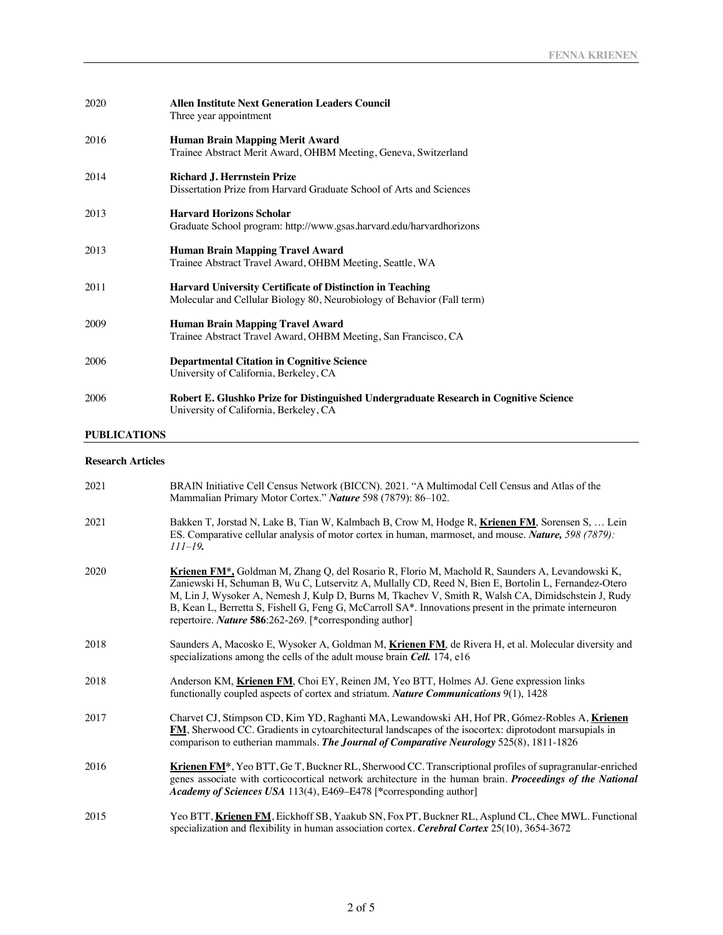| 2020                | <b>Allen Institute Next Generation Leaders Council</b><br>Three year appointment                                                            |
|---------------------|---------------------------------------------------------------------------------------------------------------------------------------------|
| 2016                | <b>Human Brain Mapping Merit Award</b><br>Trainee Abstract Merit Award, OHBM Meeting, Geneva, Switzerland                                   |
| 2014                | <b>Richard J. Herrnstein Prize</b><br>Dissertation Prize from Harvard Graduate School of Arts and Sciences                                  |
| 2013                | <b>Harvard Horizons Scholar</b><br>Graduate School program: http://www.gsas.harvard.edu/harvardhorizons                                     |
| 2013                | <b>Human Brain Mapping Travel Award</b><br>Trainee Abstract Travel Award, OHBM Meeting, Seattle, WA                                         |
| 2011                | <b>Harvard University Certificate of Distinction in Teaching</b><br>Molecular and Cellular Biology 80, Neurobiology of Behavior (Fall term) |
| 2009                | <b>Human Brain Mapping Travel Award</b><br>Trainee Abstract Travel Award, OHBM Meeting, San Francisco, CA                                   |
| 2006                | <b>Departmental Citation in Cognitive Science</b><br>University of California, Berkeley, CA                                                 |
| 2006                | Robert E. Glushko Prize for Distinguished Undergraduate Research in Cognitive Science<br>University of California, Berkeley, CA             |
| <b>PUBLICATIONS</b> |                                                                                                                                             |

# **Research Articles**

| 2021 | BRAIN Initiative Cell Census Network (BICCN). 2021. "A Multimodal Cell Census and Atlas of the<br>Mammalian Primary Motor Cortex." Nature 598 (7879): 86-102.                                                                                                                                                                                                                                                                                                                               |
|------|---------------------------------------------------------------------------------------------------------------------------------------------------------------------------------------------------------------------------------------------------------------------------------------------------------------------------------------------------------------------------------------------------------------------------------------------------------------------------------------------|
| 2021 | Bakken T, Jorstad N, Lake B, Tian W, Kalmbach B, Crow M, Hodge R, Krienen FM, Sorensen S,  Lein<br>ES. Comparative cellular analysis of motor cortex in human, marmoset, and mouse. Nature, 598 (7879):<br>$111 - 19$ .                                                                                                                                                                                                                                                                     |
| 2020 | Krienen FM*, Goldman M, Zhang Q, del Rosario R, Florio M, Machold R, Saunders A, Levandowski K,<br>Zaniewski H, Schuman B, Wu C, Lutservitz A, Mullally CD, Reed N, Bien E, Bortolin L, Fernandez-Otero<br>M, Lin J, Wysoker A, Nemesh J, Kulp D, Burns M, Tkachev V, Smith R, Walsh CA, Dimidschstein J, Rudy<br>B, Kean L, Berretta S, Fishell G, Feng G, McCarroll SA*. Innovations present in the primate interneuron<br>repertoire. <i>Nature</i> 586:262-269. [*corresponding author] |
| 2018 | Saunders A, Macosko E, Wysoker A, Goldman M, Krienen FM, de Rivera H, et al. Molecular diversity and<br>specializations among the cells of the adult mouse brain Cell. 174, e16                                                                                                                                                                                                                                                                                                             |
| 2018 | Anderson KM, Krienen FM, Choi EY, Reinen JM, Yeo BTT, Holmes AJ. Gene expression links<br>functionally coupled aspects of cortex and striatum. Nature Communications 9(1), 1428                                                                                                                                                                                                                                                                                                             |
| 2017 | Charvet CJ, Stimpson CD, Kim YD, Raghanti MA, Lewandowski AH, Hof PR, Gómez-Robles A, Krienen<br>FM, Sherwood CC. Gradients in cytoarchitectural landscapes of the isocortex: diprotodont marsupials in<br>comparison to eutherian mammals. The Journal of Comparative Neurology 525(8), 1811-1826                                                                                                                                                                                          |
| 2016 | Krienen FM <sup>*</sup> , Yeo BTT, Ge T, Buckner RL, Sherwood CC. Transcriptional profiles of supragranular-enriched<br>genes associate with corticocortical network architecture in the human brain. Proceedings of the National<br>Academy of Sciences USA 113(4), E469-E478 [*corresponding author]                                                                                                                                                                                      |
| 2015 | Yeo BTT, Krienen FM, Eickhoff SB, Yaakub SN, Fox PT, Buckner RL, Asplund CL, Chee MWL. Functional<br>specialization and flexibility in human association cortex. Cerebral Cortex $25(10)$ , $3654-3672$                                                                                                                                                                                                                                                                                     |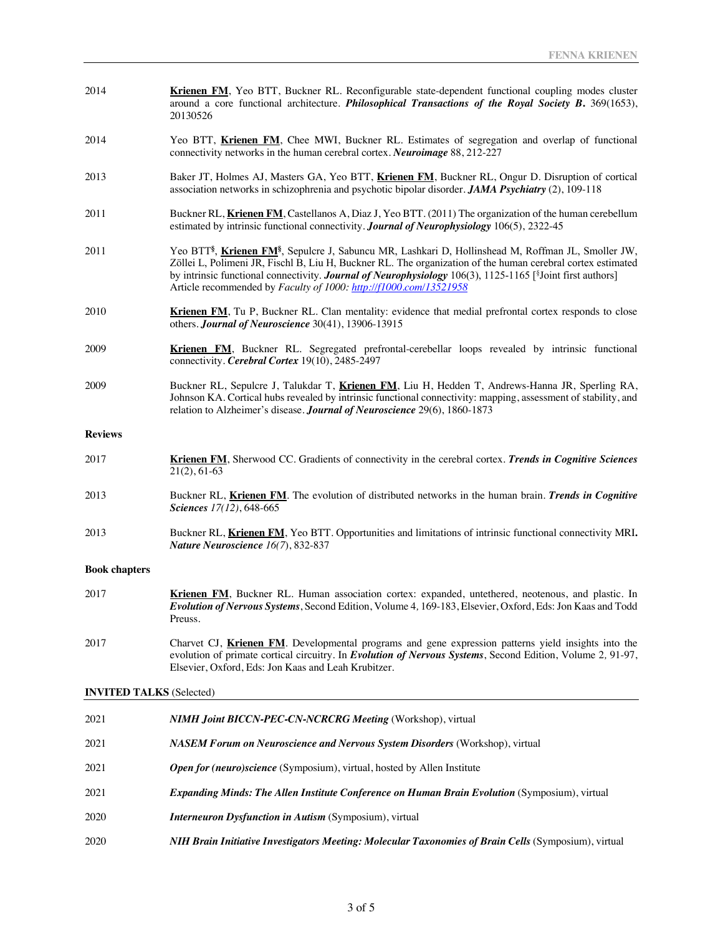- 2014 **Krienen FM**, Yeo BTT, Buckner RL. Reconfigurable state-dependent functional coupling modes cluster around a core functional architecture. *Philosophical Transactions of the Royal Society B***.** 369(1653), 20130526
- 2014 Yeo BTT, **Krienen FM**, Chee MWI, Buckner RL. Estimates of segregation and overlap of functional connectivity networks in the human cerebral cortex. *Neuroimage* 88, 212-227
- 2013 Baker JT, Holmes AJ, Masters GA, Yeo BTT, **Krienen FM**, Buckner RL, Ongur D. Disruption of cortical association networks in schizophrenia and psychotic bipolar disorder. *JAMA Psychiatry* (2), 109-118
- 2011 Buckner RL, **Krienen FM**, Castellanos A, Diaz J, Yeo BTT. (2011) The organization of the human cerebellum estimated by intrinsic functional connectivity. *Journal of Neurophysiology* 106(5), 2322-45
- 2011 Yeo BTT**§** , **Krienen FM§** , Sepulcre J, Sabuncu MR, Lashkari D, Hollinshead M, Roffman JL, Smoller JW, Zöllei L, Polimeni JR, Fischl B, Liu H, Buckner RL. The organization of the human cerebral cortex estimated by intrinsic functional connectivity. **Journal of Neurophysiology** 106(3), 1125-1165 [<sup>§</sup>Joint first authors] Article recommended by *Faculty of 1000: http://f1000.com/13521958*
- 2010 **Krienen FM**, Tu P, Buckner RL. Clan mentality: evidence that medial prefrontal cortex responds to close others. *Journal of Neuroscience* 30(41), 13906-13915
- 2009 **Krienen FM**, Buckner RL. Segregated prefrontal-cerebellar loops revealed by intrinsic functional connectivity. *Cerebral Cortex* 19(10), 2485-2497
- 2009 Buckner RL, Sepulcre J, Talukdar T, **Krienen FM**, Liu H, Hedden T, Andrews-Hanna JR, Sperling RA, Johnson KA. Cortical hubs revealed by intrinsic functional connectivity: mapping, assessment of stability, and relation to Alzheimer's disease. *Journal of Neuroscience* 29(6), 1860-1873

#### **Reviews**

- 2017 **Krienen FM**, Sherwood CC. Gradients of connectivity in the cerebral cortex. *Trends in Cognitive Sciences* 21(2), 61-63
- 2013 Buckner RL, **Krienen FM**. The evolution of distributed networks in the human brain. *Trends in Cognitive Sciences 17(12)*, 648-665
- 2013 Buckner RL, **Krienen FM**, Yeo BTT. Opportunities and limitations of intrinsic functional connectivity MRI**.** *Nature Neuroscience 16(7*), 832-837

#### **Book chapters**

- 2017 **Krienen FM**, Buckner RL. Human association cortex: expanded, untethered, neotenous, and plastic. In *Evolution of Nervous Systems*, Second Edition, Volume 4*,* 169-183, Elsevier, Oxford, Eds: Jon Kaas and Todd Preuss.
- 2017 Charvet CJ, **Krienen FM**. Developmental programs and gene expression patterns yield insights into the evolution of primate cortical circuitry. In *Evolution of Nervous Systems*, Second Edition, Volume 2*,* 91-97, Elsevier, Oxford, Eds: Jon Kaas and Leah Krubitzer.

#### **INVITED TALKS** (Selected)

| 2021 | <b>NIMH Joint BICCN-PEC-CN-NCRCRG Meeting (Workshop), virtual</b>                                           |
|------|-------------------------------------------------------------------------------------------------------------|
| 2021 | <b>NASEM Forum on Neuroscience and Nervous System Disorders (Workshop), virtual</b>                         |
| 2021 | <b>Open for (neuro)science</b> (Symposium), virtual, hosted by Allen Institute                              |
| 2021 | <b>Expanding Minds: The Allen Institute Conference on Human Brain Evolution (Symposium), virtual</b>        |
| 2020 | <b>Interneuron Dysfunction in Autism (Symposium)</b> , virtual                                              |
| 2020 | <b>NIH Brain Initiative Investigators Meeting: Molecular Taxonomies of Brain Cells (Symposium), virtual</b> |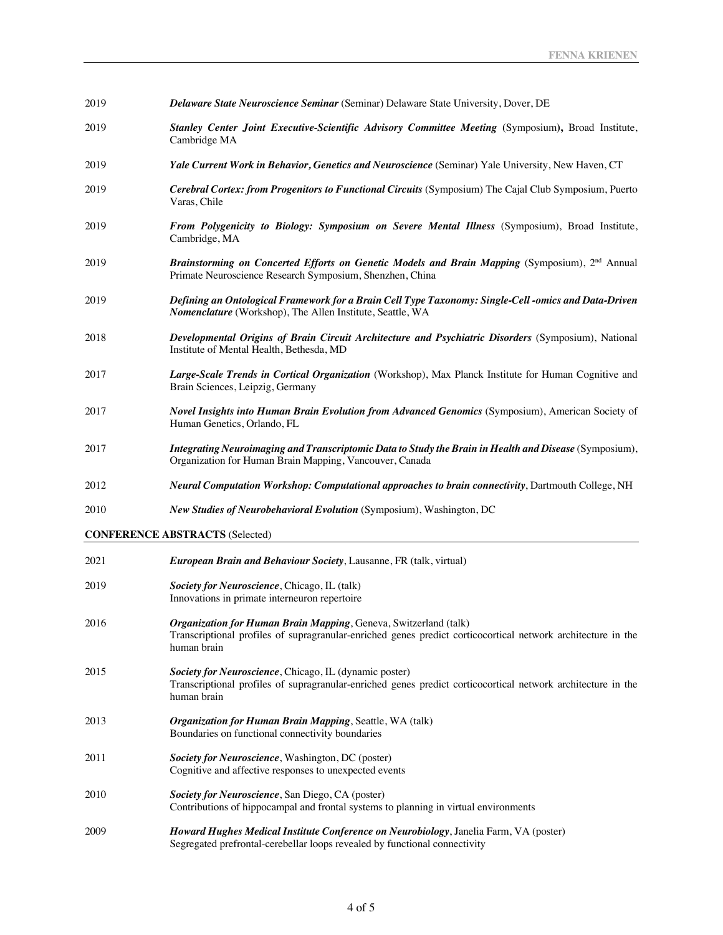| 2019 | <b>Delaware State Neuroscience Seminar (Seminar) Delaware State University, Dover, DE</b>                                                                                                       |
|------|-------------------------------------------------------------------------------------------------------------------------------------------------------------------------------------------------|
| 2019 | Stanley Center Joint Executive-Scientific Advisory Committee Meeting (Symposium), Broad Institute,<br>Cambridge MA                                                                              |
| 2019 | Yale Current Work in Behavior, Genetics and Neuroscience (Seminar) Yale University, New Haven, CT                                                                                               |
| 2019 | Cerebral Cortex: from Progenitors to Functional Circuits (Symposium) The Cajal Club Symposium, Puerto<br>Varas, Chile                                                                           |
| 2019 | From Polygenicity to Biology: Symposium on Severe Mental Illness (Symposium), Broad Institute,<br>Cambridge, MA                                                                                 |
| 2019 | Brainstorming on Concerted Efforts on Genetic Models and Brain Mapping (Symposium), 2 <sup>nd</sup> Annual<br>Primate Neuroscience Research Symposium, Shenzhen, China                          |
| 2019 | Defining an Ontological Framework for a Brain Cell Type Taxonomy: Single-Cell -omics and Data-Driven<br>Nomenclature (Workshop), The Allen Institute, Seattle, WA                               |
| 2018 | Developmental Origins of Brain Circuit Architecture and Psychiatric Disorders (Symposium), National<br>Institute of Mental Health, Bethesda, MD                                                 |
| 2017 | Large-Scale Trends in Cortical Organization (Workshop), Max Planck Institute for Human Cognitive and<br>Brain Sciences, Leipzig, Germany                                                        |
| 2017 | Novel Insights into Human Brain Evolution from Advanced Genomics (Symposium), American Society of<br>Human Genetics, Orlando, FL                                                                |
| 2017 | Integrating Neuroimaging and Transcriptomic Data to Study the Brain in Health and Disease (Symposium),<br>Organization for Human Brain Mapping, Vancouver, Canada                               |
| 2012 | Neural Computation Workshop: Computational approaches to brain connectivity, Dartmouth College, NH                                                                                              |
| 2010 | <b>New Studies of Neurobehavioral Evolution</b> (Symposium), Washington, DC                                                                                                                     |
|      | <b>CONFERENCE ABSTRACTS (Selected)</b>                                                                                                                                                          |
| 2021 | European Brain and Behaviour Society, Lausanne, FR (talk, virtual)                                                                                                                              |
| 2019 | Society for Neuroscience, Chicago, IL (talk)<br>Innovations in primate interneuron repertoire                                                                                                   |
| 2016 | Organization for Human Brain Mapping, Geneva, Switzerland (talk)<br>Transcriptional profiles of supragranular-enriched genes predict corticocortical network architecture in the<br>human brain |
| 2015 | Society for Neuroscience, Chicago, IL (dynamic poster)<br>Transcriptional profiles of supragranular-enriched genes predict corticocortical network architecture in the<br>human brain           |
| 2013 | Organization for Human Brain Mapping, Seattle, WA (talk)<br>Boundaries on functional connectivity boundaries                                                                                    |
| 2011 | Society for Neuroscience, Washington, DC (poster)<br>Cognitive and affective responses to unexpected events                                                                                     |
| 2010 | Society for Neuroscience, San Diego, CA (poster)<br>Contributions of hippocampal and frontal systems to planning in virtual environments                                                        |
| 2009 | Howard Hughes Medical Institute Conference on Neurobiology, Janelia Farm, VA (poster)<br>Segregated prefrontal-cerebellar loops revealed by functional connectivity                             |